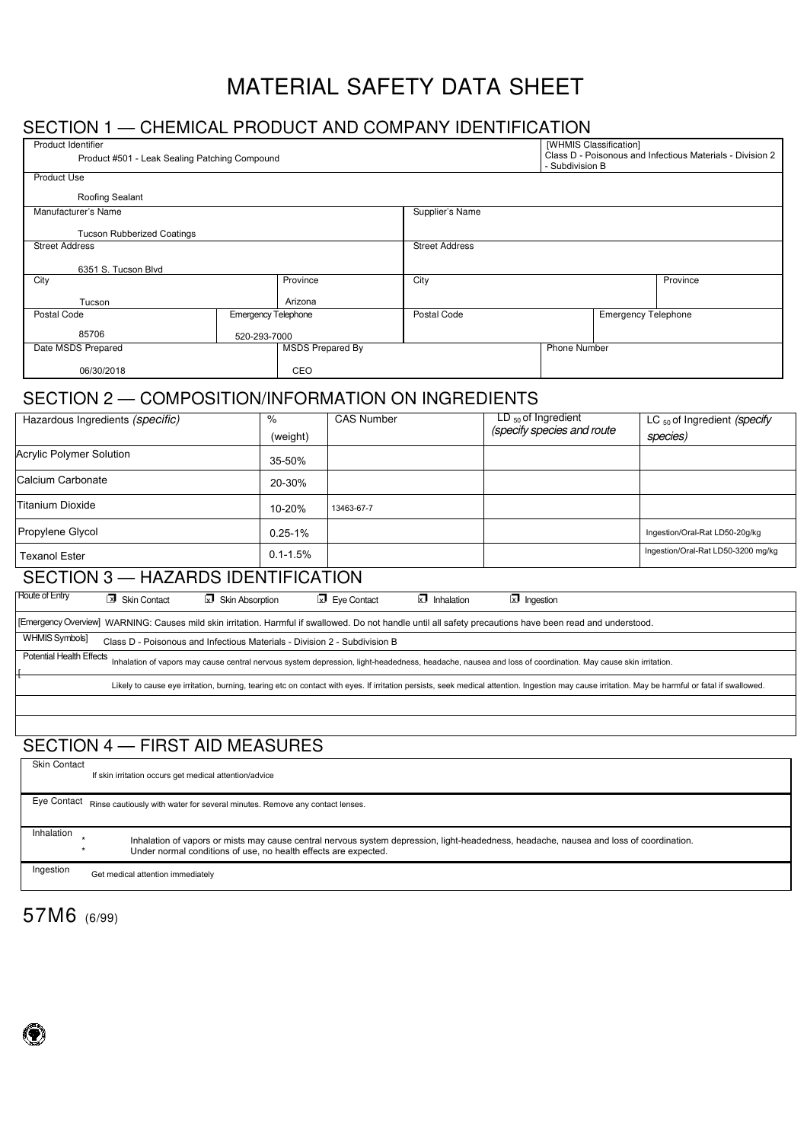# MATERIAL SAFETY DATA SHEET

## SECTION 1 — CHEMICAL PRODUCT AND COMPANY IDENTIFICATION

| Product Identifier<br>Product #501 - Leak Sealing Patching Compound                                                                                                                   |                                     |                            |                      |                       | [WHMIS Classification]<br>- Subdivision B | Class D - Poisonous and Infectious Materials - Division 2 |                                                                                                                                                                                                  |
|---------------------------------------------------------------------------------------------------------------------------------------------------------------------------------------|-------------------------------------|----------------------------|----------------------|-----------------------|-------------------------------------------|-----------------------------------------------------------|--------------------------------------------------------------------------------------------------------------------------------------------------------------------------------------------------|
| Product Use                                                                                                                                                                           |                                     |                            |                      |                       |                                           |                                                           |                                                                                                                                                                                                  |
| Roofing Sealant                                                                                                                                                                       |                                     |                            |                      |                       |                                           |                                                           |                                                                                                                                                                                                  |
| Manufacturer's Name                                                                                                                                                                   |                                     |                            | Supplier's Name      |                       |                                           |                                                           |                                                                                                                                                                                                  |
| <b>Tucson Rubberized Coatings</b>                                                                                                                                                     |                                     |                            |                      |                       |                                           |                                                           |                                                                                                                                                                                                  |
| <b>Street Address</b>                                                                                                                                                                 |                                     |                            |                      | <b>Street Address</b> |                                           |                                                           |                                                                                                                                                                                                  |
| 6351 S. Tucson Blvd                                                                                                                                                                   |                                     |                            |                      |                       |                                           |                                                           |                                                                                                                                                                                                  |
| City                                                                                                                                                                                  |                                     | Province                   |                      | City                  |                                           |                                                           | Province                                                                                                                                                                                         |
| Tucson                                                                                                                                                                                |                                     | Arizona                    |                      |                       |                                           |                                                           |                                                                                                                                                                                                  |
| Postal Code                                                                                                                                                                           |                                     | <b>Emergency Telephone</b> |                      | Postal Code           |                                           |                                                           | <b>Emergency Telephone</b>                                                                                                                                                                       |
| 85706                                                                                                                                                                                 | 520-293-7000                        |                            |                      |                       |                                           |                                                           |                                                                                                                                                                                                  |
| Date MSDS Prepared                                                                                                                                                                    |                                     | <b>MSDS Prepared By</b>    |                      |                       |                                           | Phone Number                                              |                                                                                                                                                                                                  |
| 06/30/2018                                                                                                                                                                            |                                     | CEO                        |                      |                       |                                           |                                                           |                                                                                                                                                                                                  |
| SECTION 2 - COMPOSITION/INFORMATION ON INGREDIENTS                                                                                                                                    |                                     |                            |                      |                       |                                           |                                                           |                                                                                                                                                                                                  |
|                                                                                                                                                                                       |                                     | $\%$                       | <b>CAS Number</b>    |                       |                                           | $LD_{50}$ of Ingredient                                   |                                                                                                                                                                                                  |
| Hazardous Ingredients (specific)                                                                                                                                                      |                                     | (weight)                   |                      |                       |                                           | (specify species and route                                | LC <sub>50</sub> of Ingredient (specify<br>species)                                                                                                                                              |
| <b>Acrylic Polymer Solution</b>                                                                                                                                                       |                                     |                            |                      |                       |                                           |                                                           |                                                                                                                                                                                                  |
|                                                                                                                                                                                       |                                     | 35-50%                     |                      |                       |                                           |                                                           |                                                                                                                                                                                                  |
| Calcium Carbonate                                                                                                                                                                     |                                     | 20-30%                     |                      |                       |                                           |                                                           |                                                                                                                                                                                                  |
| Titanium Dioxide                                                                                                                                                                      |                                     | 10-20%                     | 13463-67-7           |                       |                                           |                                                           |                                                                                                                                                                                                  |
| Propylene Glycol                                                                                                                                                                      |                                     | $0.25 - 1%$                |                      |                       |                                           |                                                           | Ingestion/Oral-Rat LD50-20g/kg                                                                                                                                                                   |
| <b>Texanol Ester</b>                                                                                                                                                                  |                                     | $0.1 - 1.5%$               |                      |                       |                                           |                                                           | Ingestion/Oral-Rat LD50-3200 mg/kg                                                                                                                                                               |
| SECTION 3 - HAZARDS IDENTIFICATION                                                                                                                                                    |                                     |                            |                      |                       |                                           |                                                           |                                                                                                                                                                                                  |
| Route of Entry<br>X Skin Contact                                                                                                                                                      | $\sqrt{\mathbf{x}}$ Skin Absorption |                            | <b>X</b> Eye Contact | $\sqrt{2}$ Inhalation | $\boxed{\mathbf{x}}$ Ingestion            |                                                           |                                                                                                                                                                                                  |
| [Emergency Overview] WARNING: Causes mild skin irritation. Harmful if swallowed. Do not handle until all safety precautions have been read and understood.                            |                                     |                            |                      |                       |                                           |                                                           |                                                                                                                                                                                                  |
| WHMIS Symbols]<br>Class D - Poisonous and Infectious Materials - Division 2 - Subdivision B                                                                                           |                                     |                            |                      |                       |                                           |                                                           |                                                                                                                                                                                                  |
| Potential Health Effects<br>Inhalation of vapors may cause central nervous system depression, light-headedness, headache, nausea and loss of coordination. May cause skin irritation. |                                     |                            |                      |                       |                                           |                                                           |                                                                                                                                                                                                  |
|                                                                                                                                                                                       |                                     |                            |                      |                       |                                           |                                                           | Likely to cause eye irritation, burning, tearing etc on contact with eyes. If irritation persists, seek medical attention. Ingestion may cause irritation. May be harmful or fatal if swallowed. |
|                                                                                                                                                                                       |                                     |                            |                      |                       |                                           |                                                           |                                                                                                                                                                                                  |
|                                                                                                                                                                                       |                                     |                            |                      |                       |                                           |                                                           |                                                                                                                                                                                                  |
| <b>SECTION 4 - FIRST AID MEASURES</b>                                                                                                                                                 |                                     |                            |                      |                       |                                           |                                                           |                                                                                                                                                                                                  |
| <b>Skin Contact</b>                                                                                                                                                                   |                                     |                            |                      |                       |                                           |                                                           |                                                                                                                                                                                                  |
| If skin irritation occurs get medical attention/advice                                                                                                                                |                                     |                            |                      |                       |                                           |                                                           |                                                                                                                                                                                                  |
| Eye Contact Rinse cautiously with water for several minutes. Remove any contact lenses.                                                                                               |                                     |                            |                      |                       |                                           |                                                           |                                                                                                                                                                                                  |

Inhalation Ingestion \* Inhalation of vapors or mists may cause central nervous system depression, light-headedness, headache, nausea and loss of coordination. \* Under normal conditions of use, no health effects are expected.

Get medical attention immediately

57M6 (6/99)

 $\left( \bullet \right)$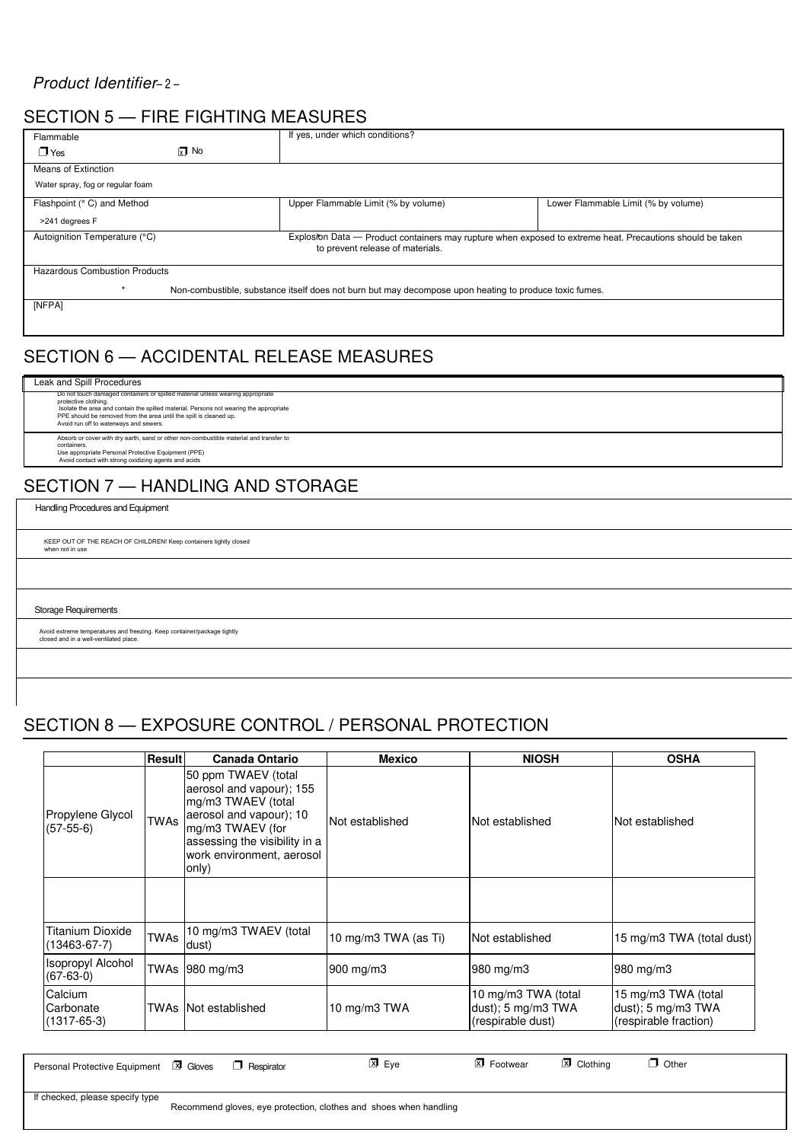### *Product Identifier*– 2 –

## SECTION 5 — FIRE FIGHTING MEASURES

| Flammable                            |               | If yes, under which conditions?                                                                                                                |                                     |
|--------------------------------------|---------------|------------------------------------------------------------------------------------------------------------------------------------------------|-------------------------------------|
| $\Box$ Yes                           | $\sqrt{x}$ No |                                                                                                                                                |                                     |
| Means of Extinction                  |               |                                                                                                                                                |                                     |
| Water spray, fog or regular foam     |               |                                                                                                                                                |                                     |
| Flashpoint (° C) and Method          |               | Upper Flammable Limit (% by volume)                                                                                                            | Lower Flammable Limit (% by volume) |
| >241 degrees F                       |               |                                                                                                                                                |                                     |
| Autoignition Temperature (°C)        |               | Explositon Data — Product containers may rupture when exposed to extreme heat. Precautions should be taken<br>to prevent release of materials. |                                     |
| <b>Hazardous Combustion Products</b> |               |                                                                                                                                                |                                     |
|                                      |               | Non-combustible, substance itself does not burn but may decompose upon heating to produce toxic fumes.                                         |                                     |
| [NFPA]                               |               |                                                                                                                                                |                                     |

## SECTION 6 — ACCIDENTAL RELEASE MEASURES

## Leak and Spill Procedures

Do not touch damaged containers or spilled material unless wearing appropriate<br>protective clothing.<br>Isolate the area and contain the spilled material. Persons not wearing the appropriate<br>PPE should be removed from the area Absorb or cover with dry earth, sand or other non-combustible material and transfer to<br>containers.<br>Use appropriate Personal Protective Equipment (PPE)<br>Avoid contact with strong oxidizing agents and acids

## SECTION 7 — HANDLING AND STORAGE

Handling Procedures and Equipment

KEEP OUT OF THE REACH OF CHILDREN! Keep containers tightly closed when not in use

Storage Requirements

Avoid extreme temperatures and freezing. Keep container/package tightly closed and in a well-ventilated place.

## SECTION 8 — EXPOSURE CONTROL / PERSONAL PROTECTION

|                                           | Result                                                                                                                                                                                                     | <b>Canada Ontario</b>          | <b>Mexico</b>        | <b>NIOSH</b>                                                   | <b>OSHA</b>                                                        |
|-------------------------------------------|------------------------------------------------------------------------------------------------------------------------------------------------------------------------------------------------------------|--------------------------------|----------------------|----------------------------------------------------------------|--------------------------------------------------------------------|
| Propylene Glycol<br>$(57-55-6)$           | 50 ppm TWAEV (total<br>aerosol and vapour); 155<br>mg/m3 TWAEV (total<br>aerosol and vapour); 10<br><b>TWAs</b><br>mg/m3 TWAEV (for<br>assessing the visibility in a<br>work environment, aerosol<br>only) |                                | Not established      | Not established                                                | Not established                                                    |
|                                           |                                                                                                                                                                                                            |                                |                      |                                                                |                                                                    |
| Titanium Dioxide<br>$(13463 - 67 - 7)$    | <b>TWAs</b>                                                                                                                                                                                                | 10 mg/m3 TWAEV (total<br>dust) | 10 mg/m3 TWA (as Ti) | Not established                                                | 15 mg/m3 TWA (total dust)                                          |
| <b>Isopropyl Alcohol</b><br>$(67-63-0)$   |                                                                                                                                                                                                            | TWAs 980 mg/m3                 | 900 mg/m3            | 980 mg/m3                                                      | 980 mg/m3                                                          |
| Calcium<br>Carbonate<br>$(1317 - 65 - 3)$ |                                                                                                                                                                                                            | TWAs INot established          | 10 mg/m $3$ TWA      | 10 mg/m3 TWA (total<br>dust); 5 mg/m3 TWA<br>(respirable dust) | 15 mg/m3 TWA (total<br>dust); 5 mg/m3 TWA<br>(respirable fraction) |

Personal Protective Equipment  $\boxed{3}$  Gloves  $\boxed{7}$  Respirator  $\boxed{3}$  Eye  $\boxed{3}$  Footwear  $\boxed{3}$  Clothing  $\boxed{7}$  Other  $\Box$  Respirator

If checked, please specify type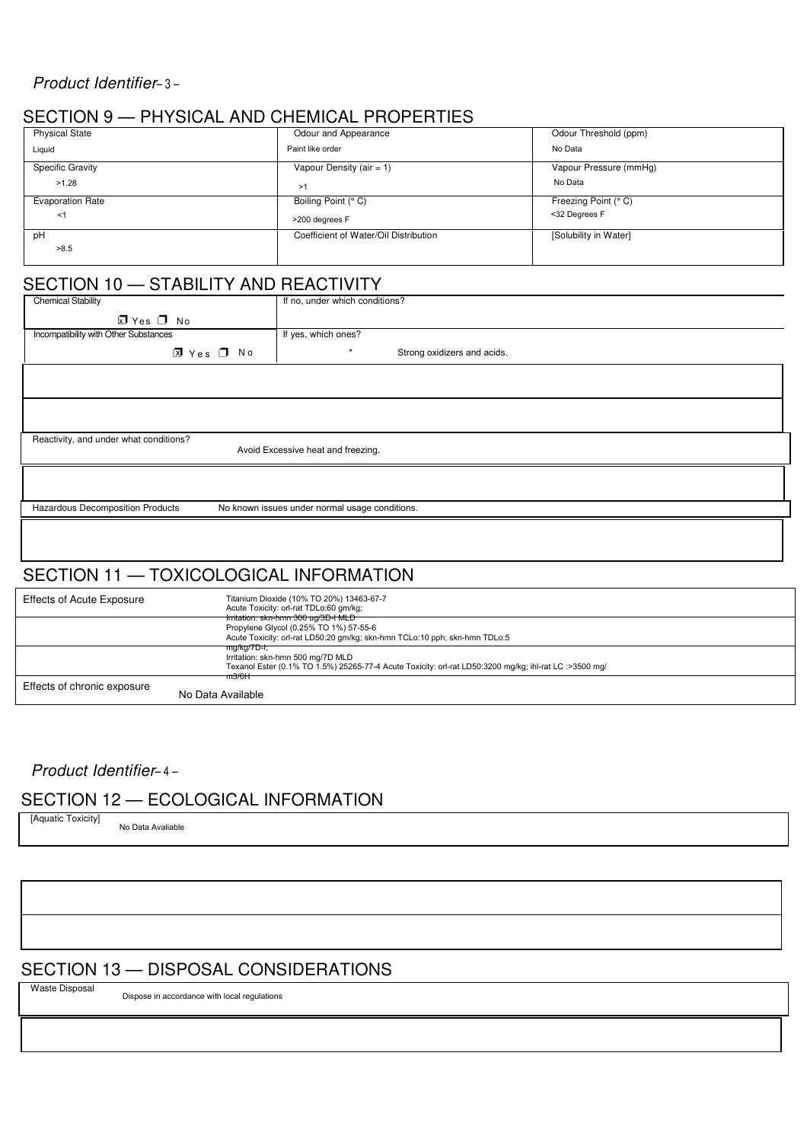### *Product Identifier*– 3 –

## SECTION 9 — PHYSICAL AND CHEMICAL PROPERTIES

| <b>Physical State</b>   | Odour and Appearance                  | Odour Threshold (ppm)  |
|-------------------------|---------------------------------------|------------------------|
| Liquid                  | Paint like order                      | No Data                |
| <b>Specific Gravity</b> | Vapour Density (air = $1$ )           | Vapour Pressure (mmHg) |
| >1.28                   | >1                                    | No Data                |
| <b>Evaporation Rate</b> | Boiling Point (° C)                   | Freezing Point (° C)   |
| $<$ 1                   | >200 degrees F                        | <32 Degrees F          |
| рH                      | Coefficient of Water/Oil Distribution | [Solubility in Water]  |
| >8.5                    |                                       |                        |

## SECTION 10 — STABILITY AND REACTIVITY

| <b>Chemical Stability</b>              | If no, under which conditions? |                             |  |  |  |
|----------------------------------------|--------------------------------|-----------------------------|--|--|--|
| ⊠ Yes □ No                             |                                |                             |  |  |  |
| Incompatibility with Other Substances  | If yes, which ones?            |                             |  |  |  |
| <b>⊠</b> Yes □ No                      | $\star$                        | Strong oxidizers and acids. |  |  |  |
|                                        |                                |                             |  |  |  |
|                                        |                                |                             |  |  |  |
|                                        |                                |                             |  |  |  |
|                                        |                                |                             |  |  |  |
| Reactivity, and under what conditions? |                                |                             |  |  |  |
| Avoid Excessive heat and freezing.     |                                |                             |  |  |  |
|                                        |                                |                             |  |  |  |

Hazardous Decomposition Products

No known issues under normal usage conditions.

## SECTION 11 — TOXICOLOGICAL INFORMATION

| <b>Effects of Acute Exposure</b> | Titanium Dioxide (10% TO 20%) 13463-67-7<br>Acute Toxicity: orl-rat TDLo:60 gm/kg;                                                                                    |
|----------------------------------|-----------------------------------------------------------------------------------------------------------------------------------------------------------------------|
|                                  | Irritation: skn-hmn 300 ug/3D-I MLD<br>Propylene Glycol (0.25% TO 1%) 57-55-6<br>Acute Toxicity: orl-rat LD50:20 gm/kg; skn-hmn TCLo:10 pph; skn-hmn TDLo:5           |
|                                  | <del>mg/kg/7D-t;</del><br>Irritation: skn-hmn 500 mg/7D MLD<br>Texanol Ester (0.1% TO 1.5%) 25265-77-4 Acute Toxicity: orl-rat LD50:3200 mg/kg; ihl-rat LC :>3500 mg/ |
| Effects of chronic exposure      | m3/6H<br>No Data Available                                                                                                                                            |

### *Product Identifier*– 4 –

## SECTION 12 — ECOLOGICAL INFORMATION

[Aquatic Toxicity] No Data Avaliable

## SECTION 13 — DISPOSAL CONSIDERATIONS

Waste Disposal

Dispose in accordance with local regulations